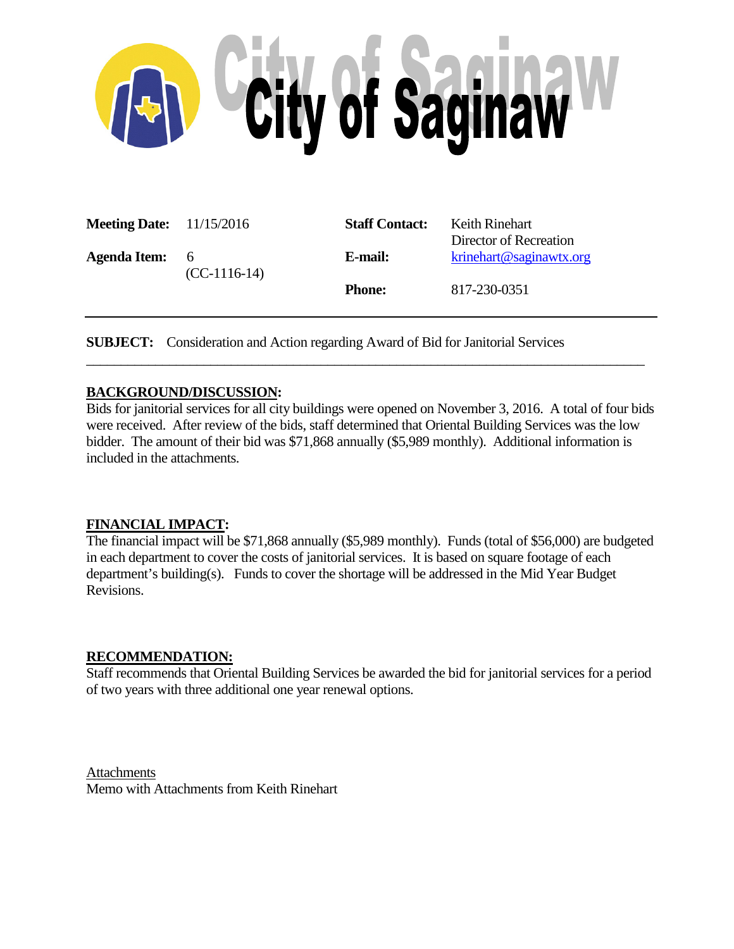

| <b>Meeting Date:</b> 11/15/2016 |                       | <b>Staff Contact:</b> | Keith Rinehart<br>Director of Recreation |
|---------------------------------|-----------------------|-----------------------|------------------------------------------|
| <b>Agenda Item:</b>             | - 6<br>$(CC-1116-14)$ | E-mail:               | $k$ rinehart@saginawtx.org               |
|                                 |                       | <b>Phone:</b>         | 817-230-0351                             |

**SUBJECT:** Consideration and Action regarding Award of Bid for Janitorial Services

### **BACKGROUND/DISCUSSION:**

Bids for janitorial services for all city buildings were opened on November 3, 2016. A total of four bids were received. After review of the bids, staff determined that Oriental Building Services was the low bidder. The amount of their bid was \$71,868 annually (\$5,989 monthly). Additional information is included in the attachments.

\_\_\_\_\_\_\_\_\_\_\_\_\_\_\_\_\_\_\_\_\_\_\_\_\_\_\_\_\_\_\_\_\_\_\_\_\_\_\_\_\_\_\_\_\_\_\_\_\_\_\_\_\_\_\_\_\_\_\_\_\_\_\_\_\_\_\_\_\_\_\_\_\_\_\_\_\_\_\_\_\_

### **FINANCIAL IMPACT:**

The financial impact will be \$71,868 annually (\$5,989 monthly). Funds (total of \$56,000) are budgeted in each department to cover the costs of janitorial services. It is based on square footage of each department's building(s). Funds to cover the shortage will be addressed in the Mid Year Budget Revisions.

### **RECOMMENDATION:**

Staff recommends that Oriental Building Services be awarded the bid for janitorial services for a period of two years with three additional one year renewal options.

Attachments Memo with Attachments from Keith Rinehart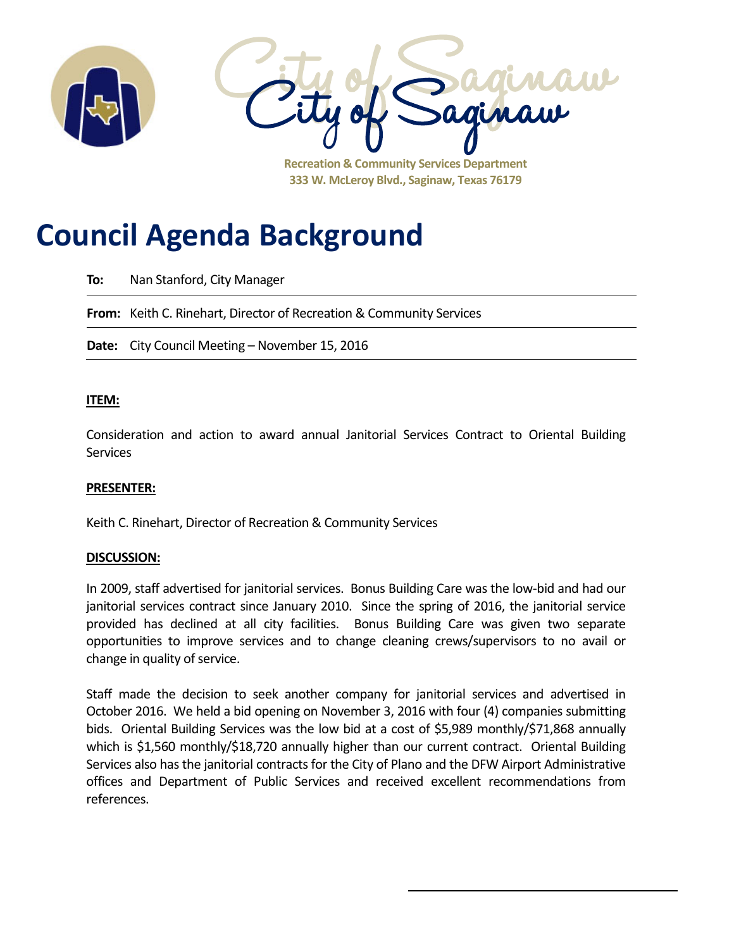

**333 W. McLeroy Blvd., Saginaw, Texas 76179**

# **Council Agenda Background**

**To:** Nan Stanford, City Manager

**From:** Keith C. Rinehart, Director of Recreation & Community Services

**Date:** City Council Meeting – November 15, 2016

### **ITEM:**

Consideration and action to award annual Janitorial Services Contract to Oriental Building **Services** 

### **PRESENTER:**

Keith C. Rinehart, Director of Recreation & Community Services

### **DISCUSSION:**

In 2009, staff advertised for janitorial services. Bonus Building Care was the low-bid and had our janitorial services contract since January 2010. Since the spring of 2016, the janitorial service provided has declined at all city facilities. Bonus Building Care was given two separate opportunities to improve services and to change cleaning crews/supervisors to no avail or change in quality of service.

Staff made the decision to seek another company for janitorial services and advertised in October 2016. We held a bid opening on November 3, 2016 with four (4) companies submitting bids. Oriental Building Services was the low bid at a cost of \$5,989 monthly/\$71,868 annually which is \$1,560 monthly/\$18,720 annually higher than our current contract. Oriental Building Services also has the janitorial contracts for the City of Plano and the DFW Airport Administrative offices and Department of Public Services and received excellent recommendations from references.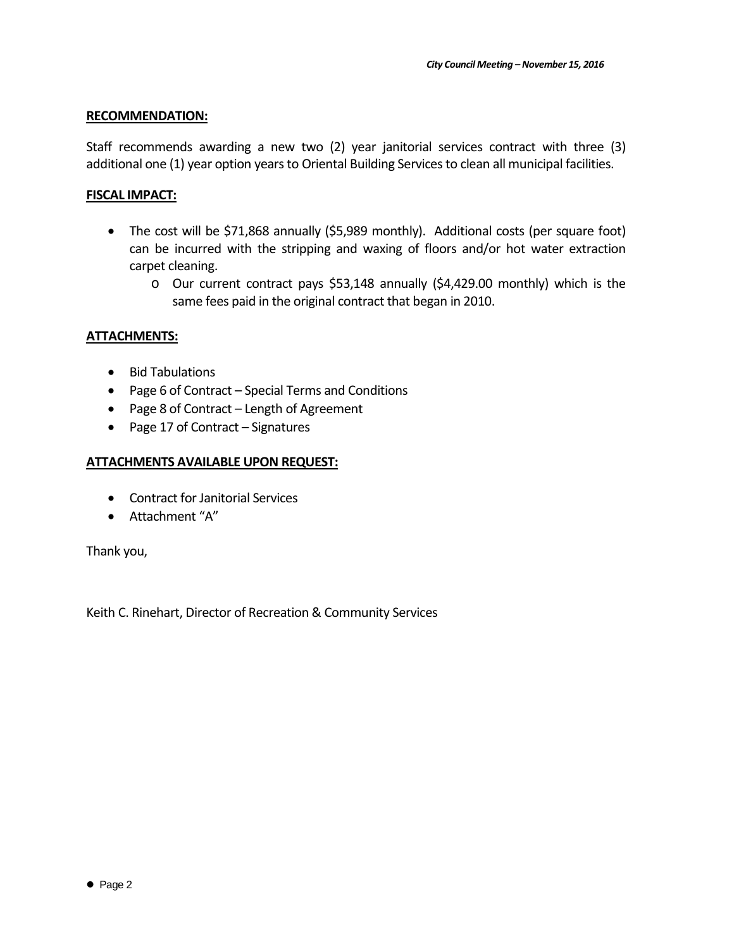### **RECOMMENDATION:**

Staff recommends awarding a new two (2) year janitorial services contract with three (3) additional one (1) year option years to Oriental Building Services to clean all municipal facilities.

### **FISCAL IMPACT:**

- The cost will be \$71,868 annually (\$5,989 monthly). Additional costs (per square foot) can be incurred with the stripping and waxing of floors and/or hot water extraction carpet cleaning.
	- o Our current contract pays \$53,148 annually (\$4,429.00 monthly) which is the same fees paid in the original contract that began in 2010.

### **ATTACHMENTS:**

- Bid Tabulations
- Page 6 of Contract Special Terms and Conditions
- Page 8 of Contract Length of Agreement
- Page 17 of Contract Signatures

### **ATTACHMENTS AVAILABLE UPON REQUEST:**

- Contract for Janitorial Services
- Attachment "A"

Thank you,

Keith C. Rinehart, Director of Recreation & Community Services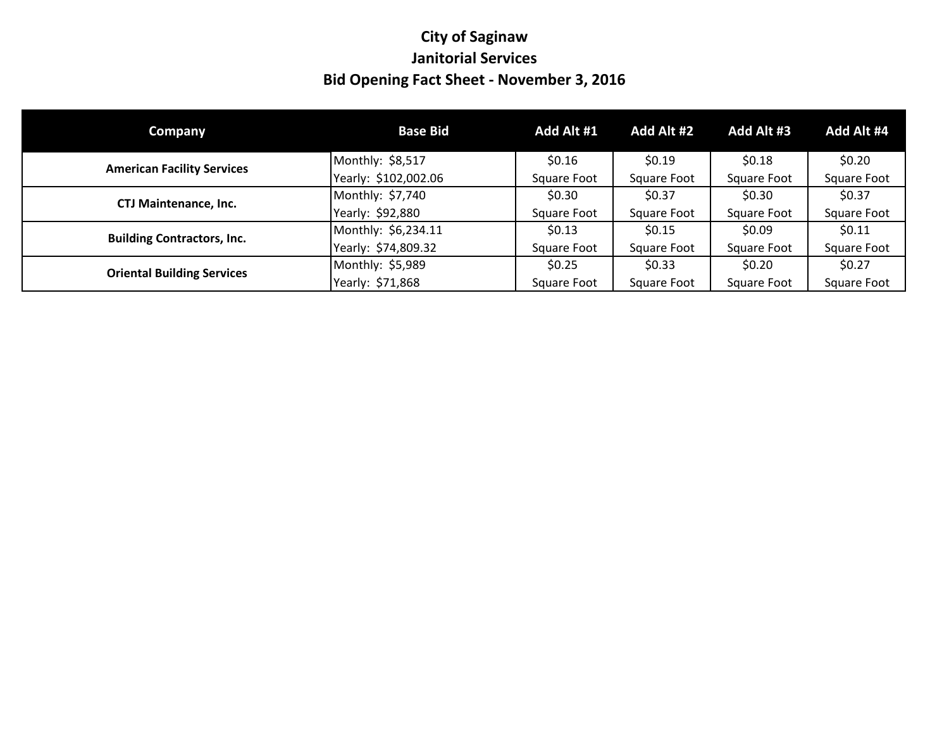# **City of Saginaw Janitorial Services Bid Opening Fact Sheet - November 3, 2016**

| <b>Company</b>                    | <b>Base Bid</b>      | Add Alt #1  | Add Alt #2  | Add Alt #3  | Add Alt #4  |
|-----------------------------------|----------------------|-------------|-------------|-------------|-------------|
| <b>American Facility Services</b> | Monthly: \$8,517     | \$0.16      | \$0.19      | \$0.18      | \$0.20      |
|                                   | Yearly: \$102,002.06 | Square Foot | Square Foot | Square Foot | Square Foot |
|                                   | Monthly: \$7,740     | \$0.30      | \$0.37      | \$0.30      | \$0.37      |
| <b>CTJ Maintenance, Inc.</b>      | Yearly: \$92,880     | Square Foot | Square Foot | Square Foot | Square Foot |
| <b>Building Contractors, Inc.</b> | Monthly: \$6,234.11  | \$0.13      | \$0.15      | \$0.09      | \$0.11      |
|                                   | Yearly: \$74,809.32  | Square Foot | Square Foot | Square Foot | Square Foot |
| <b>Oriental Building Services</b> | Monthly: \$5,989     | \$0.25      | \$0.33      | \$0.20      | \$0.27      |
|                                   | Yearly: \$71,868     | Square Foot | Square Foot | Square Foot | Square Foot |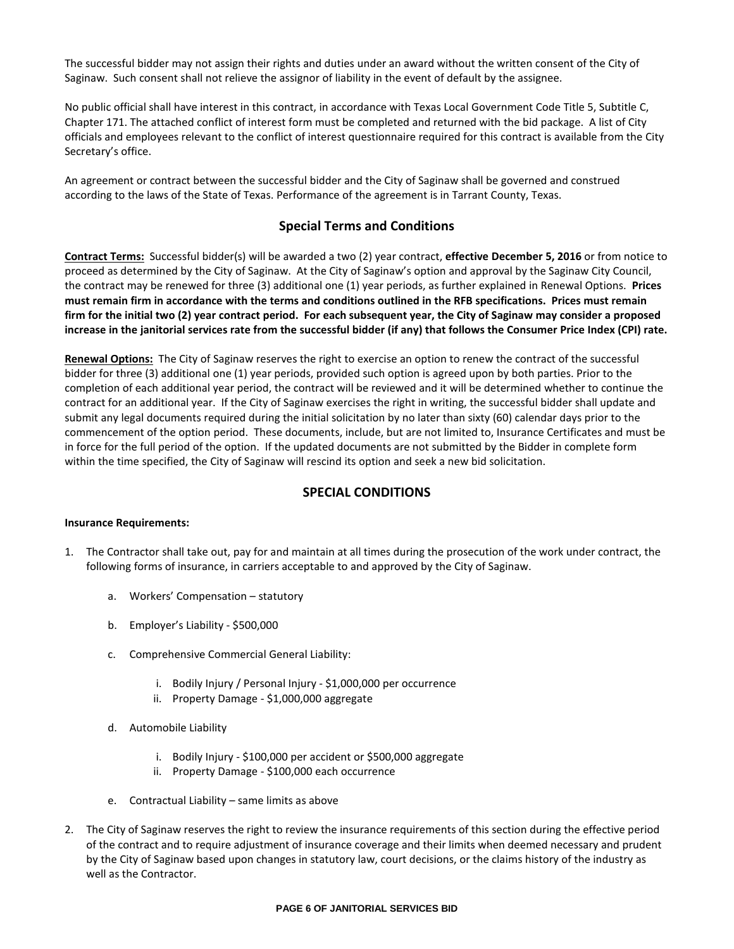The successful bidder may not assign their rights and duties under an award without the written consent of the City of Saginaw. Such consent shall not relieve the assignor of liability in the event of default by the assignee.

No public official shall have interest in this contract, in accordance with Texas Local Government Code Title 5, Subtitle C, Chapter 171. The attached conflict of interest form must be completed and returned with the bid package. A list of City officials and employees relevant to the conflict of interest questionnaire required for this contract is available from the City Secretary's office.

An agreement or contract between the successful bidder and the City of Saginaw shall be governed and construed according to the laws of the State of Texas. Performance of the agreement is in Tarrant County, Texas.

### **Special Terms and Conditions**

**Contract Terms:** Successful bidder(s) will be awarded a two (2) year contract, **effective December 5, 2016** or from notice to proceed as determined by the City of Saginaw. At the City of Saginaw's option and approval by the Saginaw City Council, the contract may be renewed for three (3) additional one (1) year periods, as further explained in Renewal Options. **Prices must remain firm in accordance with the terms and conditions outlined in the RFB specifications. Prices must remain firm for the initial two (2) year contract period. For each subsequent year, the City of Saginaw may consider a proposed increase in the janitorial services rate from the successful bidder (if any) that follows the Consumer Price Index (CPI) rate.**

**Renewal Options:** The City of Saginaw reserves the right to exercise an option to renew the contract of the successful bidder for three (3) additional one (1) year periods, provided such option is agreed upon by both parties. Prior to the completion of each additional year period, the contract will be reviewed and it will be determined whether to continue the contract for an additional year. If the City of Saginaw exercises the right in writing, the successful bidder shall update and submit any legal documents required during the initial solicitation by no later than sixty (60) calendar days prior to the commencement of the option period. These documents, include, but are not limited to, Insurance Certificates and must be in force for the full period of the option. If the updated documents are not submitted by the Bidder in complete form within the time specified, the City of Saginaw will rescind its option and seek a new bid solicitation.

### **SPECIAL CONDITIONS**

### **Insurance Requirements:**

- 1. The Contractor shall take out, pay for and maintain at all times during the prosecution of the work under contract, the following forms of insurance, in carriers acceptable to and approved by the City of Saginaw.
	- a. Workers' Compensation statutory
	- b. Employer's Liability \$500,000
	- c. Comprehensive Commercial General Liability:
		- i. Bodily Injury / Personal Injury \$1,000,000 per occurrence
		- ii. Property Damage \$1,000,000 aggregate
	- d. Automobile Liability
		- i. Bodily Injury \$100,000 per accident or \$500,000 aggregate
		- ii. Property Damage \$100,000 each occurrence
	- e. Contractual Liability same limits as above
- 2. The City of Saginaw reserves the right to review the insurance requirements of this section during the effective period of the contract and to require adjustment of insurance coverage and their limits when deemed necessary and prudent by the City of Saginaw based upon changes in statutory law, court decisions, or the claims history of the industry as well as the Contractor.

### **PAGE 6 OF JANITORIAL SERVICES BID**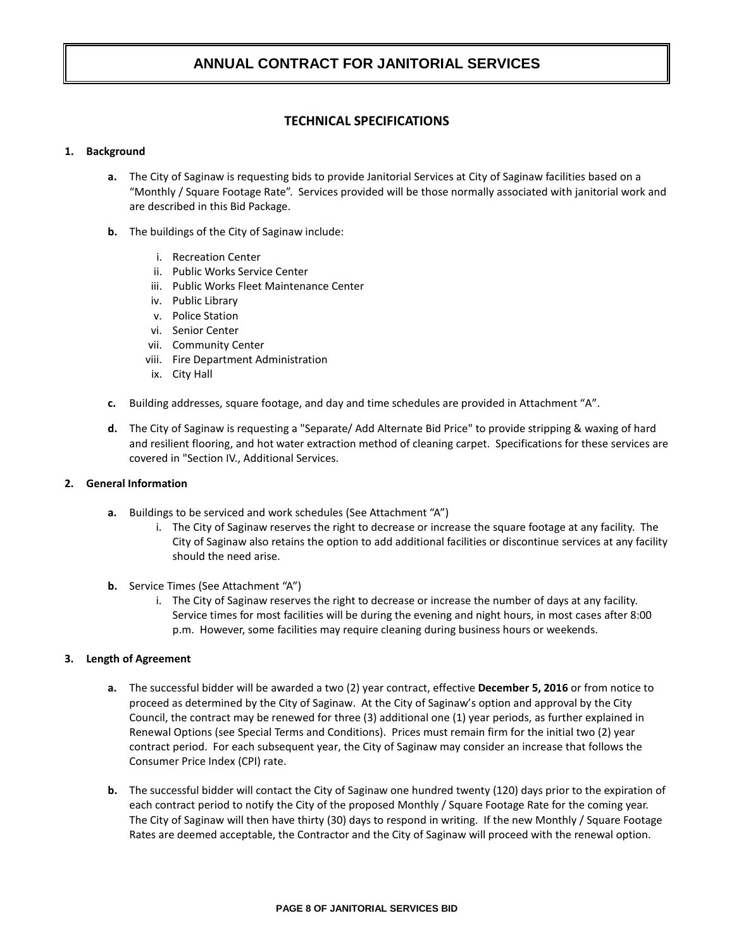### **TECHNICAL SPECIFICATIONS**

### **1. Background**

- **a.** The City of Saginaw is requesting bids to provide Janitorial Services at City of Saginaw facilities based on a "Monthly / Square Footage Rate". Services provided will be those normally associated with janitorial work and are described in this Bid Package.
- **b.** The buildings of the City of Saginaw include:
	- i. Recreation Center
	- ii. Public Works Service Center
	- iii. Public Works Fleet Maintenance Center
	- iv. Public Library
	- v. Police Station
	- vi. Senior Center
	- vii. Community Center
	- viii. Fire Department Administration
	- ix. City Hall
- **c.** Building addresses, square footage, and day and time schedules are provided in Attachment "A".
- **d.** The City of Saginaw is requesting a "Separate/ Add Alternate Bid Price" to provide stripping & waxing of hard and resilient flooring, and hot water extraction method of cleaning carpet. Specifications for these services are covered in "Section IV., Additional Services.

### **2. General Information**

- **a.** Buildings to be serviced and work schedules (See Attachment "A")
	- i. The City of Saginaw reserves the right to decrease or increase the square footage at any facility. The City of Saginaw also retains the option to add additional facilities or discontinue services at any facility should the need arise.
- **b.** Service Times (See Attachment "A")
	- i. The City of Saginaw reserves the right to decrease or increase the number of days at any facility. Service times for most facilities will be during the evening and night hours, in most cases after 8:00 p.m. However, some facilities may require cleaning during business hours or weekends.

### **3. Length of Agreement**

- **a.** The successful bidder will be awarded a two (2) year contract, effective **December 5, 2016** or from notice to proceed as determined by the City of Saginaw. At the City of Saginaw's option and approval by the City Council, the contract may be renewed for three (3) additional one (1) year periods, as further explained in Renewal Options (see Special Terms and Conditions). Prices must remain firm for the initial two (2) year contract period. For each subsequent year, the City of Saginaw may consider an increase that follows the Consumer Price Index (CPI) rate.
- **b.** The successful bidder will contact the City of Saginaw one hundred twenty (120) days prior to the expiration of each contract period to notify the City of the proposed Monthly / Square Footage Rate for the coming year. The City of Saginaw will then have thirty (30) days to respond in writing. If the new Monthly / Square Footage Rates are deemed acceptable, the Contractor and the City of Saginaw will proceed with the renewal option.